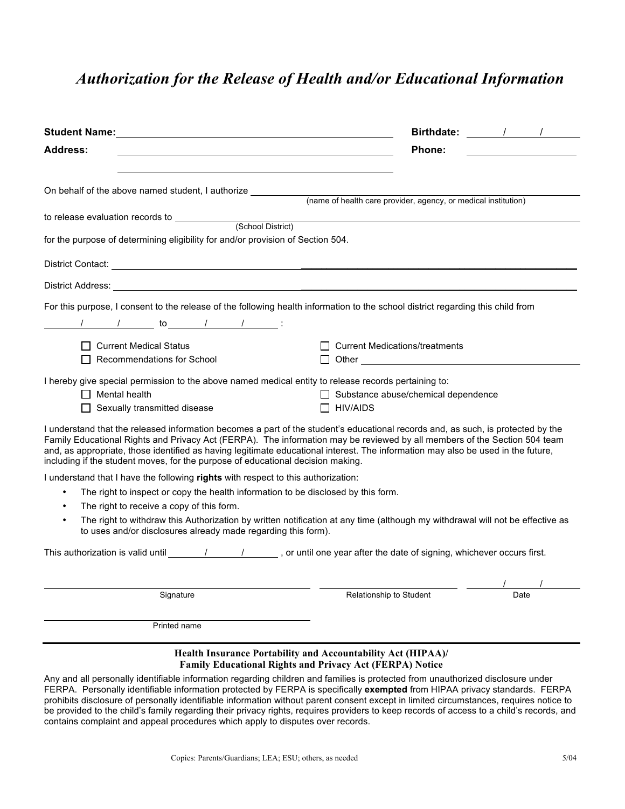## *Authorization for the Release of Health and/or Educational Information*

|                                                                                                                                                                                                                                                                                                                                                                                                                                                                                      | Birthdate: / /                             |      |
|--------------------------------------------------------------------------------------------------------------------------------------------------------------------------------------------------------------------------------------------------------------------------------------------------------------------------------------------------------------------------------------------------------------------------------------------------------------------------------------|--------------------------------------------|------|
| <b>Address:</b>                                                                                                                                                                                                                                                                                                                                                                                                                                                                      | Phone:                                     |      |
|                                                                                                                                                                                                                                                                                                                                                                                                                                                                                      |                                            |      |
| On behalf of the above named student, I authorize _______________________________<br>(name of health care provider, agency, or medical institution)                                                                                                                                                                                                                                                                                                                                  |                                            |      |
|                                                                                                                                                                                                                                                                                                                                                                                                                                                                                      |                                            |      |
| for the purpose of determining eligibility for and/or provision of Section 504.                                                                                                                                                                                                                                                                                                                                                                                                      |                                            |      |
|                                                                                                                                                                                                                                                                                                                                                                                                                                                                                      |                                            |      |
|                                                                                                                                                                                                                                                                                                                                                                                                                                                                                      |                                            |      |
| For this purpose, I consent to the release of the following health information to the school district regarding this child from                                                                                                                                                                                                                                                                                                                                                      |                                            |      |
|                                                                                                                                                                                                                                                                                                                                                                                                                                                                                      |                                            |      |
| □ Current Medical Status<br>Recommendations for School                                                                                                                                                                                                                                                                                                                                                                                                                               | <b>Current Medications/treatments</b>      |      |
| I hereby give special permission to the above named medical entity to release records pertaining to:<br>$\Box$ Mental health                                                                                                                                                                                                                                                                                                                                                         | $\Box$ Substance abuse/chemical dependence |      |
| $\Box$ Sexually transmitted disease                                                                                                                                                                                                                                                                                                                                                                                                                                                  | $\Box$ HIV/AIDS                            |      |
| I understand that the released information becomes a part of the student's educational records and, as such, is protected by the<br>Family Educational Rights and Privacy Act (FERPA). The information may be reviewed by all members of the Section 504 team<br>and, as appropriate, those identified as having legitimate educational interest. The information may also be used in the future,<br>including if the student moves, for the purpose of educational decision making. |                                            |      |
| I understand that I have the following rights with respect to this authorization:                                                                                                                                                                                                                                                                                                                                                                                                    |                                            |      |
| The right to inspect or copy the health information to be disclosed by this form.<br>$\bullet$                                                                                                                                                                                                                                                                                                                                                                                       |                                            |      |
| The right to receive a copy of this form.<br>$\bullet$<br>The right to withdraw this Authorization by written notification at any time (although my withdrawal will not be effective as<br>$\bullet$<br>to uses and/or disclosures already made regarding this form).                                                                                                                                                                                                                |                                            |      |
| This authorization is valid until $\frac{1}{1-\frac{1}{1-\frac{1}{1-\frac{1}{1-\frac{1}{1-\frac{1}{1-\frac{1}{1-\frac{1}{1-\frac{1}{1-\frac{1}{1-\frac{1}{1-\frac{1}{1-\frac{1}{1-\frac{1}{1-\frac{1}{1-\frac{1}{1-\frac{1}{1-\frac{1}{1-\frac{1}{1-\frac{1}{1-\frac{1}{1-\frac{1}{1-\frac{1}{1-\frac{1}{1-\frac{1}{1-\frac{1}{1-\frac{1}{1-\frac{1}{1-\frac{1}{1-\frac{1}{1-\frac{1}{1$                                                                                             |                                            |      |
|                                                                                                                                                                                                                                                                                                                                                                                                                                                                                      |                                            |      |
| Signature                                                                                                                                                                                                                                                                                                                                                                                                                                                                            | Relationship to Student                    | Date |
| Printed name                                                                                                                                                                                                                                                                                                                                                                                                                                                                         |                                            |      |
| Health Insurance Portability and Accountability Act (HIPAA)/<br><b>Family Educational Rights and Privacy Act (FERPA) Notice</b><br>Any and all personally identifiable information regarding children and families is protected from unauthorized disclosure under<br>FERPA. Personally identifiable information protected by FERPA is specifically exempted from HIPAA privacy standards. FERPA                                                                                     |                                            |      |

prohibits disclosure of personally identifiable information without parent consent except in limited circumstances, requires notice to be provided to the child's family regarding their privacy rights, requires providers to keep records of access to a child's records, and contains complaint and appeal procedures which apply to disputes over records.